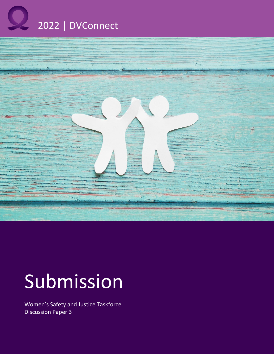



# Submission

Women's Safety and Justice Taskforce Discussion Paper 3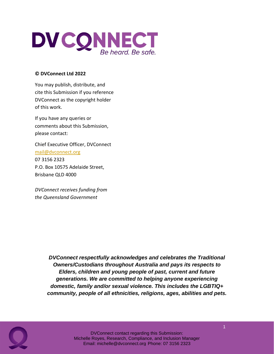

#### **© DVConnect Ltd 2022**

You may publish, distribute, and cite this Submission if you reference DVConnect as the copyright holder of this work.

If you have any queries or comments about this Submission, please contact:

Chief Executive Officer, DVConnect mail@dvconnect.org 07 3156 2323 P.O. Box 10575 Adelaide Street, Brisbane QLD 4000

*DVConnect receives funding from the Queensland Government*

> *DVConnect respectfully acknowledges and celebrates the Traditional Owners/Custodians throughout Australia and pays its respects to Elders, children and young people of past, current and future generations. We are committed to helping anyone experiencing domestic, family and/or sexual violence. This includes the LGBTIQ+ community, people of all ethnicities, religions, ages, abilities and pets.*

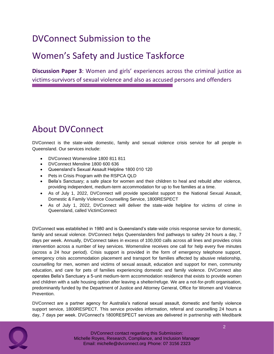# DVConnect Submission to the

### Women's Safety and Justice Taskforce

**Discussion Paper 3**: Women and girls' experiences across the criminal justice as victims-survivors of sexual violence and also as accused persons and offenders

### About DVConnect

DVConnect is the state-wide domestic, family and sexual violence crisis service for all people in Queensland. Our services include:

- DVConnect Womensline 1800 811 811
- DVConnect Mensline 1800 600 636
- Queensland's Sexual Assault Helpline 1800 010 120
- Pets in Crisis Program with the RSPCA QLD
- Bella's Sanctuary; a safe place for women and their children to heal and rebuild after violence, providing independent, medium-term accommodation for up to five families at a time.
- As of July 1, 2022, DVConnect will provide specialist support to the National Sexual Assault, Domestic & Family Violence Counselling Service, 1800RESPECT
- As of July 1, 2022, DVConnect will deliver the state-wide helpline for victims of crime in Queensland, called VictimConnect

DVConnect was established in 1980 and is Queensland's state-wide crisis response service for domestic, family and sexual violence. DVConnect helps Queenslanders find pathways to safety 24 hours a day, 7 days per week. Annually, DVConnect takes in excess of 100,000 calls across all lines and provides crisis intervention across a number of key services. Womensline receives one call for help every five minutes (across a 24 hour period). Crisis support is provided in the form of emergency telephone support, emergency crisis accommodation placement and transport for families affected by abusive relationship, counselling for men, women and victims of sexual assault, education and support for men, community education, and care for pets of families experiencing domestic and family violence. DVConnect also operates Bella's Sanctuary a 5-unit medium-term accommodation residence that exists to provide women and children with a safe housing option after leaving a shelter/refuge. We are a not-for-profit organisation, predominantly funded by the Department of Justice and Attorney General, Office for Women and Violence Prevention.

DVConnect are a partner agency for Australia's national sexual assault, domestic and family violence support service, 1800RESPECT. This service provides information, referral and counselling 24 hours a day, 7 days per week. DVConnect's 1800RESPECT services are delivered in partnership with Medibank

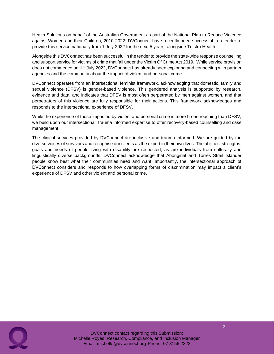Health Solutions on behalf of the Australian Government as part of the National Plan to Reduce Violence against Women and their Children, 2010-2022. DVConnect have recently been successful in a tender to provide this service nationally from 1 July 2022 for the next 5 years, alongside Telstra Health.

Alongside this DVConnect has been successful in the tender to provide the state-wide response counselling and support service for victims of crime that fall under the Victim Of Crime Act 2019. While service provision does not commence until 1 July 2022, DVConnect has already been exploring and connecting with partner agencies and the community about the impact of violent and personal crime.

DVConnect operates from an intersectional feminist framework, acknowledging that domestic, family and sexual violence (DFSV) is gender-based violence. This gendered analysis is supported by research, evidence and data, and indicates that DFSV is most often perpetrated by men against women, and that perpetrators of this violence are fully responsible for their actions. This framework acknowledges and responds to the intersectional experience of DFSV.

While the experience of those impacted by violent and personal crime is more broad reaching than DFSV, we build upon our intersectional, trauma informed expertise to offer recovery-based counselling and case management.

The clinical services provided by DVConnect are inclusive and trauma-informed. We are guided by the diverse voices of survivors and recognise our clients as the expert in their own lives. The abilities, strengths, goals and needs of people living with disability are respected, as are individuals from culturally and linguistically diverse backgrounds. DVConnect acknowledge that Aboriginal and Torres Strait Islander people know best what their communities need and want. Importantly, the intersectional approach of DVConnect considers and responds to how overlapping forms of discrimination may impact a client's experience of DFSV and other violent and personal crime.

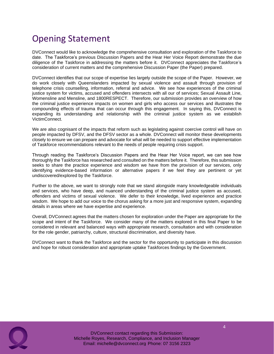## Opening Statement

DVConnect would like to acknowledge the comprehensive consultation and exploration of the Taskforce to date. The Taskforce's previous Discussion Papers and the Hear Her Voice Report demonstrate the due diligence of the Taskforce in addressing the matters before it. DVConnect appreciates the Taskforce's consideration of current matters and the comprehensive Discussion Paper (the Paper) prepared.

DVConnect identifies that our scope of expertise lies largely outside the scope of the Paper. However, we do work closely with Queenslanders impacted by sexual violence and assault through provision of telephone crisis counselling, information, referral and advice. We see how experiences of the criminal justice system for victims, accused and offenders intersects with all our of services; Sexual Assault Line, Womensline and Mensline, and 1800RESPECT. Therefore, our submission provides an overview of how the criminal justice experience impacts on women and girls who access our services and illustrates the compounding effects of trauma that can occur through this engagement. In saying this, DVConnect is expanding its understanding and relationship with the criminal justice system as we establish VictimConnect.

We are also cognisant of the impacts that reform such as legislating against coercive control will have on people impacted by DFSV, and the DFSV sector as a whole. DVConnect will monitor these developments closely to ensure we can prepare and advocate for what will be needed to support effective implementation of Taskforce recommendations relevant to the needs of people requiring crisis support.

Through reading the Taskforce's Discussion Papers and the Hear Her Voice report, we can see how thoroughly the Taskforce has researched and consulted on the matters before it. Therefore, this submission seeks to share the practice experience and wisdom we have from the provision of our services, only identifying evidence-based information or alternative papers if we feel they are pertinent or yet undiscovered/explored by the Taskforce.

Further to the above, we want to strongly note that we stand alongside many knowledgeable individuals and services, who have deep, and nuanced understanding of the criminal justice system as accused, offenders and victims of sexual violence. We defer to their knowledge, lived experience and practice wisdom. We hope to add our voice to the chorus asking for a more just and responsive system, expanding details in areas where we have expertise and experience.

Overall, DVConnect agrees that the matters chosen for exploration under the Paper are appropriate for the scope and intent of the Taskforce. We consider many of the matters explored in this final Paper to be considered in relevant and balanced ways with appropriate research, consultation and with consideration for the role gender, patriarchy, culture, structural discrimination, and diversity have.

DVConnect want to thank the Taskforce and the sector for the opportunity to participate in this discussion and hope for robust consideration and appropriate uptake Taskforces findings by the Government.

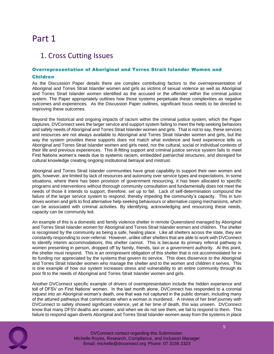### Part 1

### 1. Cross Cutting Issues

### Overrepresentation of Aboriginal and Torres Strait Islander Women and

#### Children

As the Discussion Paper details there are complex contributing factors to the overrepresentation of Aboriginal and Torres Strait Islander women and girls as victims of sexual violence as well as Aboriginal and Torres Strait Islander women identified as the accused or the offender within the criminal justice system. The Paper appropriately outlines how those systems perpetuate these complexities as negative outcomes and experiences. As the Discussion Paper outlines, significant focus needs to be directed to improving these outcomes.

Beyond the historical and ongoing impacts of racism within the criminal justice system, which the Paper captures, DVConnect sees the larger service and support system failing to meet the help seeking behaviors and safety needs of Aboriginal and Torres Strait Islander women and girls. That is not to say, these services and resources are not always available to Aboriginal and Torres Strait Islander women and girls, but the way the system provides these supports does not match what evidence and lived experience tells us Aboriginal and Torres Strait Islander women and girls need, nor the cultural, social or individual contexts of their life and previous experiences. This ill-fitting support and criminal justice service system fails to meet First Nations women's needs due to systemic racism, embedded patriarchal structures, and disregard for cultural knowledge creating ongoing institutional betrayal and mistrust.

Aboriginal and Torres Strait Islander communities have great capability to support their own women and girls, however, are limited by lack of resources and autonomy over service types and expectations. In some situations, where there has been provision of government resourcing, it has been allocated to specific programs and interventions without thorough community consultation and fundamentally does not meet the needs of those it intends to support, therefore, set up to fail. Lack of self-determination compound the failure of the larger service system to respond, thereby impeding the community's capacity. This in turn drives women and girls to find alternative help-seeking behaviours or alternative coping mechanisms, which can be associated with criminal activities. By identifying, acknowledging and resourcing these needs, capacity can be community led.

An example of this is a domestic and family violence shelter in remote Queensland managed by Aboriginal and Torres Strait Islander women for Aboriginal and Torres Strait Islander women and children. The shelter is recognised by the community as being a safe, healing place. Like all shelters across the state, they are constantly responding to over-referral. However, unlike other shelters that are able to work with DVConnect to identify interim accommodations, this shelter cannot. This is because its primary referral pathway is women presenting in person, dropped off by family, friends, taxi or a government authority. At this point, the shelter must respond. This is an omnipresent obligation of this shelter that is not accommodated for in its funding nor appreciated by the systems that govern its service. This does disservice to the Aboriginal and Torres Strait Islander women who manage the shelter and to the women and children it serves. This is one example of how our system increases stress and vulnerability to an entire community through its poor fit to the needs of Aboriginal and Torres Strait Islander women and girls.

Another DVConnect specific example of drivers of overrepresentation include the hidden experience and toll of DFSV on First Nations' women. In the last month alone, DVConnect has responded to a coronial inquest into an Aboriginal woman's death, one that was not captured in the public domain, including many of the attuned pathways that communicate when a woman is murdered. A review of her brief journey with DVConnect to safety showed significant violence, yet at her time of death, this was unseen. DVConnect know that many DFSV deaths are unseen, and when we do not see them, we fail to respond to them. This failure to respond again diverts Aboriginal and Torres Strait Islander women away from the systems in place

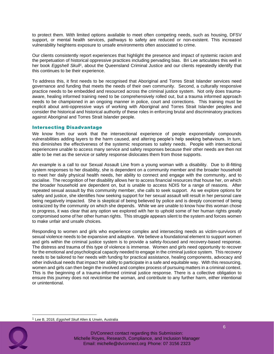to protect them. With limited options available to meet often competing needs, such as housing, DFSV support, or mental health services, pathways to safety are reduced or non-existent. This increased vulnerability heightens exposure to unsafe environments often associated to crime.

Our clients consistently report experiences that highlight the presence and impact of systemic racism and the perpetuation of historical oppressive practices including pervading bias. Bri Lee articulates this well in her book Eggshell Skull<sup>1</sup>, about the Queensland Criminal Justice and our clients repeatedly identify that this continues to be their experience.

To address this, it first needs to be recognised that Aboriginal and Torres Strait Islander services need governance and funding that meets the needs of their own community. Second, a culturally responsive practice needs to be embedded and resourced across the criminal justice system. Not only does traumaaware, healing informed training need to be comprehensively rolled out, but a trauma informed approach needs to be championed in an ongoing manner in police, court and corrections. This training must be explicit about anti-oppressive ways of working with Aboriginal and Torres Strait Islander peoples and consider the historical and historical authority of these roles in enforcing brutal and discriminatory practices against Aboriginal and Torres Strait Islander people.

#### Intersecting Disadvantage

We know from our work that the intersectional experience of people exponentially compounds vulnerabilities adding layers to the harm caused, and altering people's help seeking behaviours. In turn, this diminishes the effectiveness of the systemic responses to safety needs. People with intersectional experiencere unable to access many service and safety responses because their other needs are then not able to be met as the service or safety response dislocates them from those supports.

An example is a call to our Sexual Assault Line from a young woman with a disability. Due to ill-fitting system responses to her disability, she is dependent on a community member and the broader household to meet her daily physical health needs, her ability to connect and engage with the community, and to socialise. The recognition of her disability allows her to access financial resources that house her, on which the broader household are dependent on, but is unable to access NDIS for a range of reasons. After repeated sexual assault by this community member, she calls to seek support. As we explore options for safety and justice, she identifies how seeking support for her sexual assault will result in her personal care being negatively impacted. She is skeptical of being believed by police and is deeply concerned of being ostracized by the community on which she depends. While we are unable to know how this woman chose to progress, it was clear that any option we explored with her to uphold some of her human rights greatly compromised some of her other human rights. This struggle appears silent to the system and forces women to make unfair and unsafe choices.

Responding to women and girls who experience complex and intersecting needs as victim-survivors of sexual violence needs to be expansive and adaptive. We believe a foundational element to support women and girls within the criminal justice system is to provide a safety-focused and recovery-based response. The distress and trauma of this type of violence is immense. Women and girls need opportunity to recover for the emotional and psychological capacity needed to engage in the criminal justice system. This recovery needs to be tailored to her needs with funding for practical assistance, healing components, advocacy and other individual needs that impact her ability to participate in a safe and equitable way. With this resourcing, women and girls can then begin the involved and complex process of pursuing matters in a criminal context. This is the beginning of a trauma-informed criminal justice response. There is a collective obligation to ensure this journey does not revictimise the woman, and contribute to any further harm, either intentional or unintentional.

<sup>1</sup> Lee B, 2018, *Eggshell Skull* Allen & Unwin, Australia

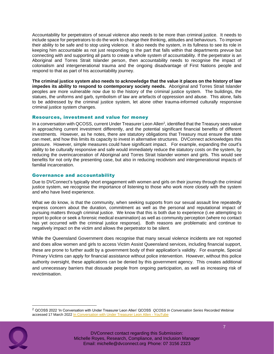Accountability for perpetrators of sexual violence also needs to be more than criminal justice. It needs to include space for perpetrators to do the work to change their thinking, attitudes and behaviours. To improve their ability to be safe and to stop using violence. It also needs the system, in its fullness to see its role in keeping him accountable as not just responding to the part that falls within that departments prevue but connecting with and supporting all parts to create a whole system of accountability. If the perpetrator is an Aboriginal and Torres Strait Islander person, then accountability needs to recognise the impact of colonialism and intergenerational trauma and the ongoing disadvantage of First Nations people and respond to that as part of his accountability journey.

**The criminal justice system also needs to acknowledge that the value it places on the history of law impedes its ability to respond to contemporary society needs.** Aboriginal and Torres Strait Islander peoples are more vulnerable now due to the history of the criminal justice system. The buildings, the statues, the uniforms and garb, symbolism of law are artefacts of oppression and abuse. This alone, fails to be addressed by the criminal justice system, let alone other trauma-informed culturally responsive criminal justice system changes.

#### Resources, investment and value for money

In a conversation with QCOSS, current Under Treasurer Leon Allen<sup>2</sup>, identified that the Treasury sees value in approaching current investment differently, and the potential significant financial benefits of different investments. However, as he notes, there are statutory obligations that Treasury must ensure the state can meet, and how this limits its capacity to invest in alternative structures. DVConnect acknowledges this pressure. However, simple measures could have significant impact. For example, expanding the court's ability to be culturally responsive and safe would immediately reduce the statutory costs on the system, by reducing the overincarceration of Aboriginal and Torres Strait Islander women and girls. This would see benefits for not only the presenting case, but also in reducing recidivism and intergenerational impacts of familial incarceration.

#### Governance and accountability

Due to DVConnect's typically short engagement with women and girls on their journey through the criminal justice system, we recognise the importance of listening to those who work more closely with the system and who have lived experience.

What we do know, is that the community, when seeking supports from our sexual assault line repeatedly express concern about the duration, commitment as well as the personal and reputational impact of pursuing matters through criminal justice. We know that this is both due to experience (i.ee attempting to report to police or seek a forensic medical examination) as well as community perception (where no contact has yet occurred with the criminal justice response). Both reasons are problematic and continue to negatively impact on the victim and allows the perpetrator to be silent.

While the Queensland Government does recognise that many sexual violence incidents are not reported and does allow women and girls to access Victim Assist Queensland services, including financial support, these are prone to further audit by a government body of their application's validity. For example, Special Primary Victims can apply for financial assistance without police intervention. However, without this police authority oversight, these applications can be denied by this government agency. This creates additional and unnecessary barriers that dissuade people from ongoing participation, as well as increasing risk of revictimisation.

<sup>2</sup> QCOSS 2022 'In Conversation with Under Treasurer Leon Allen' QCOSS *QCOSS In Conversation Series* Recorded Webinar accessed 17 March 2022 In Conversation with Under Treasurer Leon Allen - YouTube

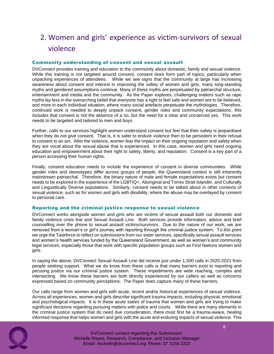### 2. Women and girls' experience as victim-survivors of sexual violence

#### Community understanding of consent and sexual assault

DVConnect provides training and education to the community about domestic, family and sexual violence. While this training is not targeted around consent, consent does form part of topics, particularly when unpacking experiences of attendees. While we see signs that the community at large has increasing awareness about consent and interest in improving the safety of women and girls, many long-standing myths and gendered assumptions continue. Many of these myths are perpetuated by patriarchal structure, entertainment and media and the community. As the Paper explores, challenging matters such as rape myths lay less in the overarching belief that everyone has a right to feel safe and women are to be believed, and more in each individual situation, where many social artefacts perpetuate the mythologies. Therefore, continued work is needed to deeply unpack consent, gender roles and community expectations, this includes that consent is not the absence of a no, but the need for a clear and uncoerced yes. This work needs to be targeted and tailored to men and boys.

Further, calls to our services highlight women understand consent but feel that their safety is jeopardised when they do not give consent. That is, it is safer to endure violence then to be persistent in their refusal to consent to an act. After the violence, women fear the impact on their ongoing reputation and safety when they are vocal about the sexual abuse that is experienced. In this case, women and girls need ongoing education and empowerment about their right to safety, liberty, and reputation. Consent is a key part of a person accessing their human rights.

Finally, consent education needs to include the experience of consent in diverse communities. While gender roles and stereotypes differ across groups of people, the Queensland context is still inherently mainstream patriarchal. Therefore, the binary nature of male and female expectations exists but consent needs to be explored in the experience of the LGBTIQ+, Aboriginal and Torres Strait Islander, and Culturally and Linguistically Diverse populations. Similarly, consent needs to be talked about in other contexts of sexual violence, such as for women and girls with disability, where the abuse may be overlayed by consent to personal care.

#### Reporting and the criminal justice response to sexual violence

DVConnect works alongside women and girls who are victims of sexual assault both our domestic and family violence crisis line and Sexual Assault Line. Both services provide information, advice and brief counselling over the phone to sexual assault victims/survivors. Due to the nature of our work, we are removed from a woman's or girl's journey with reporting through the criminal justice system. To this point we urge the Taskforce to reflect on submissions from our sister services, specifically sexual assault services and women's health services funded by the Queensland Government, as well as women's and community legal services, especially those that work with specific population groups such as First Nations women and girls.

In saying the above, DVConnect Sexual Assault Line did receive just under 1,500 calls in 2020-2021 from people seeking support. What we do know from these calls is that many barriers exist to reporting and perusing justice via our criminal justice system. These impediments are wide reaching, complex and intersecting. We know these barriers are both directly experienced by our callers as well as concerns expressed based on community perceptions. The Paper does capture many of these barriers.

Our calls range from women and girls with acute, recent and/or historical experiences of sexual violence. Across all experiences, women and girls describe significant trauma impacts, including physical, emotional and psychological impacts. It is in these acute states of trauma that women and girls are trying to make significant decisions regarding pursuing matters with police and courts. While there are many elements in the criminal justice system that do need due consideration, there must first be a trauma-aware, healing informed response that helps women and girls with the acute and enduring impacts of sexual violence. This

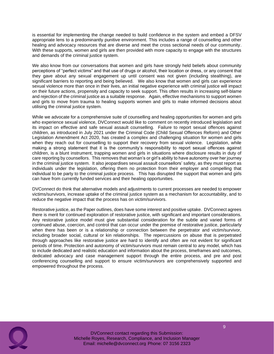is essential for implementing the change needed to build confidence in the system and embed a DFSV appropriate lens to a predominantly punitive environment. This includes a range of counselling and other healing and advocacy resources that are diverse and meet the cross sectional needs of our community. With these supports, women and girls are then provided with more capacity to engage with the structures and demands of the criminal justice system.

We also know from our conversations that women and girls have strongly held beliefs about community perceptions of "perfect victims" and that use of drugs or alcohol, their location or dress, or any consent that they gave about any sexual engagement up until consent was not given (including stealthing), are significant barriers to reporting and being believed. We also know that women and girls can experience sexual violence more than once in their lives, an initial negative experience with criminal justice will impact on their future actions, propensity and capacity to seek support. This often results in increasing self-blame and rejection of the criminal justice as a suitable response. Again, effective mechanisms to support women and girls to move from trauma to healing supports women and girls to make informed decisions about utilising the criminal justice system.

While we advocate for a comprehensive suite of counselling and healing opportunities for women and girls who experience sexual violence, DVConnect would like to comment on recently introduced legislation and its impact on effective and safe sexual assault counselling. Failure to report sexual offences against children, as introduced in July 2021 under the Criminal Code (Child Sexual Offences Reform) and Other Legislation Amendment Act 2020, has created a complex and challenging situation for women and girls when they reach out for counselling to support their recovery from sexual violence. Legislation, while making a strong statement that it is the community's responsibility to report sexual offences against children, is a blunt instrument, trapping women and girls in situations where disclosure results in duty of care reporting by counsellors. This removes that woman's or girl's ability to have autonomy over her journey in the criminal justice system. It also jeopardises sexual assault counsellors' safety, as they must report as individuals under the legislation, offering them no protection from their employer and compelling that individual to be party to the criminal justice process. This has disrupted the support that women and girls can have from currently funded services and their healing opportunities.

DVConnect do think that alternative models and adjustments to current processes are needed to empower victims/survivors, increase uptake of the criminal justice system as a mechanism for accountability, and to reduce the negative impact that the process has on victim/survivors.

Restorative justice, as the Paper outlines, does have some interest and positive uptake. DVConnect agrees there is merit for continued exploration of restorative justice, with significant and important considerations. Any restorative justice model must give substantial consideration for the subtle and varied forms of continued abuse, coercion, and control that can occur under the premise of restorative justice, particularly when there has been or is a relationship or connection between the perpetrator and victim/survivor, including broader social, cultural or kin relationships. The repercussions on abuse that is perpetrated through approaches like restorative justice are hard to identify and often are not evident for significant periods of time. Protection and autonomy of victim/survivors must remain central to any model, which has to include dedicated and realistic education and information about the process, timeframes and outcomes, dedicated advocacy and case management support through the entire process, and pre and post conferencing counselling and support to ensure victim/survivors are comprehensively supported and empowered throughout the process.

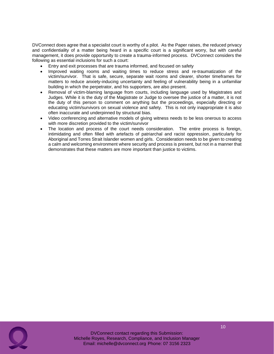DVConnect does agree that a specialist court is worthy of a pilot. As the Paper raises, the reduced privacy and confidentiality of a matter being heard in a specific court is a significant worry, but with careful management, it does provide opportunity to create a trauma-informed process. DVConnect considers the following as essential inclusions for such a court:

- Entry and exit processes that are trauma informed, and focused on safety
- Improved waiting rooms and waiting times to reduce stress and re-traumatization of the victim/survivor. That is safe, secure, separate wait rooms and clearer, shorter timeframes for matters to reduce anxiety-inducing uncertainty and feeling of vulnerability being in a unfamiliar building in which the perpetrator, and his supporters, are also present.
- Removal of victim-blaming language from courts, including language used by Magistrates and Judges. While it is the duty of the Magistrate or Judge to oversee the justice of a matter, it is not the duty of this person to comment on anything but the proceedings, especially directing or educating victim/survivors on sexual violence and safety. This is not only inappropriate it is also often inaccurate and underpinned by structural bias.
- Video conferencing and alternative models of giving witness needs to be less onerous to access with more discretion provided to the victim/survivor
- The location and process of the court needs consideration. The entire process is foreign, intimidating and often filled with artefacts of patriarchal and racist oppression, particularly for Aboriginal and Torres Strait Islander women and girls. Consideration needs to be given to creating a calm and welcoming environment where security and process is present, but not in a manner that demonstrates that these matters are more important than justice to victims.

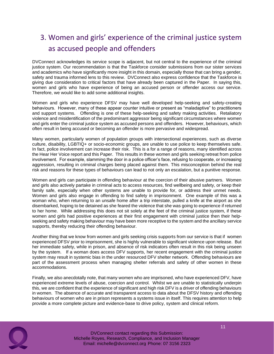### 3. Women and girls' experience of the criminal justice system as accused people and offenders

DVConnect acknowledges its service scope is adjacent, but not central to the experience of the criminal justice system. Our recommendation is that the Taskforce consider submissions from our sister services and academics who have significantly more insight in this domain, especially those that can bring a gender, safety and trauma informed lens to this review. DVConnect also express confidence that the Taskforce is giving due consideration to critical factors that have already been captured in the Paper. In saying this, women and girls who have experience of being an accused person or offender access our service. Therefore, we would like to add some additional insights.

Women and girls who experience DFSV may have well developed help-seeking and safety-creating behaviours. However, many of these appear counter intuitive or present as "maladaptive" to practitioners and support systems. Offending is one of these help-seeking and safety making activities. Retaliatory violence and misidentification of the predominant aggressor being significant circumstances where women and girls enter the criminal justice system as accused persons and offenders. However, behaviours, which often result in being accused or becoming an offender is more pervasive and widespread.

Many women, particularly women of population groups with intersectional experiences, such as diverse culture, disability, LGBTIQ+ or socio-economic groups, are unable to use police to keep themselves safe. In fact, police involvement can increase their risk. This is a for a range of reasons, many identified across the Hear Her Voice report and this Paper. This results in these women and girls seeking retreat from police involvement. For example, slamming the door in a police officer's face, refusing to cooperate, or increasing aggression, resulting in criminal charges being placed against them. This misconception behind the real risk and reasons for these types of behaviours can lead to not only an escalation, but a punitive response.

Women and girls can participate in offending behaviour at the coercion of their abusive partners. Women and girls also actively partake in criminal acts to access resources, find wellbeing and safety, or keep their family safe, especially when other systems are unable to provide for, or address their unmet needs. Women and girls also engage in offending to find safety in imprisonment. One example of this was a woman who, when returning to an unsafe home after a trip interstate, pulled a knife at the airport as she disembarked, hoping to be detained as she feared the violence that she was going to experience if returned to her home. While addressing this does not sit solely at the feet of the criminal justice system, if these women and girls had positive experiences at their first engagement with criminal justice then their helpseeking and safety making behaviour may have been more receptive to the system and the ancillary service supports, thereby reducing their offending behaviour.

Another thing that we know from women and girls seeking crisis supports from our service is that if women experienced DFSV prior to imprisonment, she is highly vulnerable to significant violence upon release. But her immediate safety, while in prison, and absence of risk indicators often result in this risk being unseen by the system. If a woman does access DFV supports, her recent engagement with the criminal justice system may result in systemic bias in the under resourced DFV shelter network. Offending behaviours are part of the assessment process when managing shelter referrals and safety of other women in these accommodations.

Finally, we also anecdotally note, that many women who are imprisoned, who have experienced DFV, have experienced extreme levels of abuse, coercion and control. Whilst we are unable to statistically underpin this, we are confident that the experience of significant and high risk DFV is a driver of offending behaviours in women. The absence of accurate and transparent access to data about the DFSV history and offending behaviours of women who are in prison represents a systems issue in itself. This requires attention to help provide a more complete picture and evidence-base to drive policy, system and clinical reform.

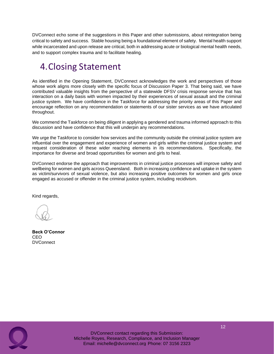DVConnect echo some of the suggestions in this Paper and other submissions, about reintegration being critical to safety and success. Stable housing being a foundational element of safety. Mental health support while incarcerated and upon release are critical, both in addressing acute or biological mental health needs, and to support complex trauma and to facilitate healing.

## 4.Closing Statement

As identified in the Opening Statement, DVConnect acknowledges the work and perspectives of those whose work aligns more closely with the specific focus of Discussion Paper 3. That being said, we have contributed valuable insights from the perspective of a statewide DFSV crisis response service that has interaction on a daily basis with women impacted by their experiences of sexual assault and the criminal justice system. We have confidence in the Taskforce for addressing the priority areas of this Paper and encourage reflection on any recommendation or statements of our sister services as we have articulated throughout.

We commend the Taskforce on being diligent in applying a gendered and trauma informed approach to this discussion and have confidence that this will underpin any recommendations.

We urge the Taskforce to consider how services and the community outside the criminal justice system are influential over the engagement and experience of women and girls within the criminal justice system and request consideration of these wider reaching elements in its recommendations. Specifically, the importance for diverse and broad opportunities for women and girls to heal.

DVConnect endorse the approach that improvements in criminal justice processes will improve safety and wellbeing for women and girls across Queensland. Both in increasing confidence and uptake in the system as victim/survivors of sexual violence, but also increasing positive outcomes for women and girls once engaged as accused or offender in the criminal justice system, including recidivism.

Kind regards,

**Beck O'Connor** CEO **DVConnect**